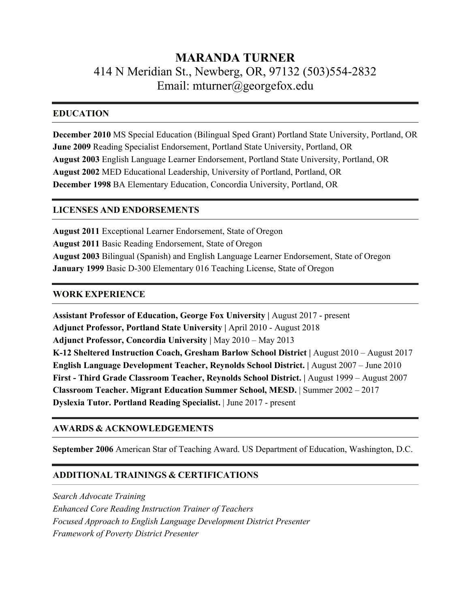# **MARANDA TURNER** 414 N Meridian St., Newberg, OR, 97132 (503)554-2832 Email: mturner@georgefox.edu

## **EDUCATION**

**December 2010** MS Special Education (Bilingual Sped Grant) Portland State University, Portland, OR **June 2009** Reading Specialist Endorsement, Portland State University, Portland, OR **August 2003** English Language Learner Endorsement, Portland State University, Portland, OR **August 2002** MED Educational Leadership, University of Portland, Portland, OR **December 1998** BA Elementary Education, Concordia University, Portland, OR

# **LICENSES AND ENDORSEMENTS**

**August 2011** Exceptional Learner Endorsement, State of Oregon **August 2011** Basic Reading Endorsement, State of Oregon **August 2003** Bilingual (Spanish) and English Language Learner Endorsement, State of Oregon **January 1999** Basic D-300 Elementary 016 Teaching License, State of Oregon

# **WORK EXPERIENCE**

**Assistant Professor of Education, George Fox University |** August 2017 - present Adjunct Professor, Portland State University | April 2010 - August 2018 **Adjunct Professor, Concordia University |** May 2010 – May 2013 **K-12 Sheltered Instruction Coach, Gresham Barlow School District |** August 2010 – August 2017 **English Language Development Teacher, Reynolds School District. |** August 2007 – June 2010 **First - Third Grade Classroom Teacher, Reynolds School District. |** August 1999 – August 2007 **Classroom Teacher. Migrant Education Summer School, MESD.** | Summer 2002 – 2017 **Dyslexia Tutor. Portland Reading Specialist.** | June 2017 - present

## **AWARDS & ACKNOWLEDGEMENTS**

**September 2006** American Star of Teaching Award. US Department of Education, Washington, D.C.

# **ADDITIONAL TRAININGS & CERTIFICATIONS**

*Search Advocate Training Enhanced Core Reading Instruction Trainer of Teachers Focused Approach to English Language Development District Presenter Framework of Poverty District Presenter*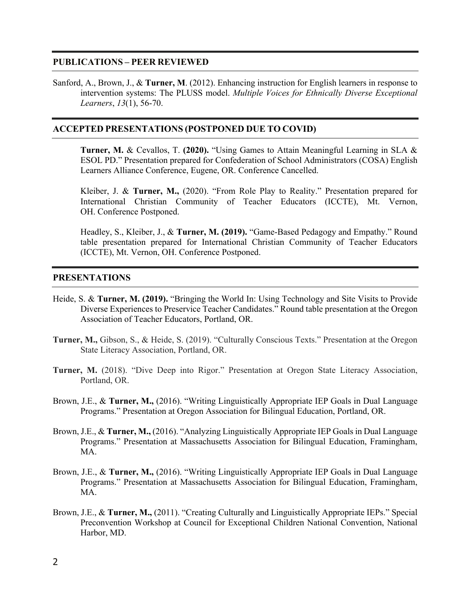#### **PUBLICATIONS – PEER REVIEWED**

Sanford, A., Brown, J., & **Turner, M**. (2012). Enhancing instruction for English learners in response to intervention systems: The PLUSS model. *Multiple Voices for Ethnically Diverse Exceptional Learners*, *13*(1), 56-70.

#### **ACCEPTED PRESENTATIONS (POSTPONED DUE TO COVID)**

**Turner, M.** & Cevallos, T. **(2020).** "Using Games to Attain Meaningful Learning in SLA & ESOL PD." Presentation prepared for Confederation of School Administrators (COSA) English Learners Alliance Conference, Eugene, OR. Conference Cancelled.

Kleiber, J. & **Turner, M.,** (2020). "From Role Play to Reality." Presentation prepared for International Christian Community of Teacher Educators (ICCTE), Mt. Vernon, OH. Conference Postponed.

Headley, S., Kleiber, J., & **Turner, M. (2019).** "Game-Based Pedagogy and Empathy." Round table presentation prepared for International Christian Community of Teacher Educators (ICCTE), Mt. Vernon, OH. Conference Postponed.

#### **PRESENTATIONS**

- Heide, S. & **Turner, M. (2019).** "Bringing the World In: Using Technology and Site Visits to Provide Diverse Experiences to Preservice Teacher Candidates." Round table presentation at the Oregon Association of Teacher Educators, Portland, OR.
- **Turner, M.,** Gibson, S., & Heide, S. (2019). "Culturally Conscious Texts." Presentation at the Oregon State Literacy Association, Portland, OR.
- **Turner, M.** (2018). "Dive Deep into Rigor." Presentation at Oregon State Literacy Association, Portland, OR.
- Brown, J.E., & **Turner, M.,** (2016). "Writing Linguistically Appropriate IEP Goals in Dual Language Programs." Presentation at Oregon Association for Bilingual Education, Portland, OR.
- Brown, J.E., & **Turner, M.,** (2016). "Analyzing Linguistically Appropriate IEP Goals in Dual Language Programs." Presentation at Massachusetts Association for Bilingual Education, Framingham, MA.
- Brown, J.E., & **Turner, M.,** (2016). "Writing Linguistically Appropriate IEP Goals in Dual Language Programs." Presentation at Massachusetts Association for Bilingual Education, Framingham, MA.
- Brown, J.E., & **Turner, M.,** (2011). "Creating Culturally and Linguistically Appropriate IEPs." Special Preconvention Workshop at Council for Exceptional Children National Convention, National Harbor, MD.